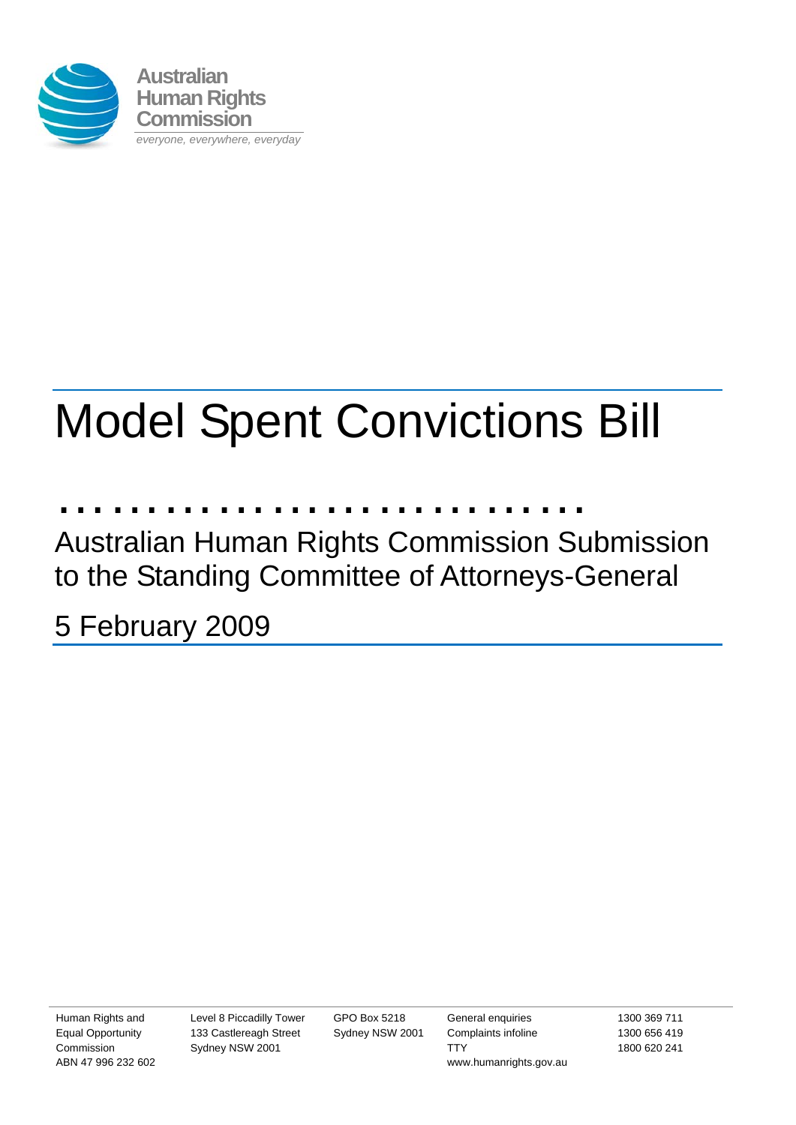

# Model Spent Convictions Bill

…………………………

Australian Human Rights Commission Submission to the Standing Committee of Attorneys-General

5 February 2009

Human Rights and Equal Opportunity Commission ABN 47 996 232 602 Level 8 Piccadilly Tower 133 Castlereagh Street Sydney NSW 2001

GPO Box 5218 Sydney NSW 2001

General enquiries Complaints infoline **TTY** www.humanrights.gov.au 1300 369 711 1300 656 419 1800 620 241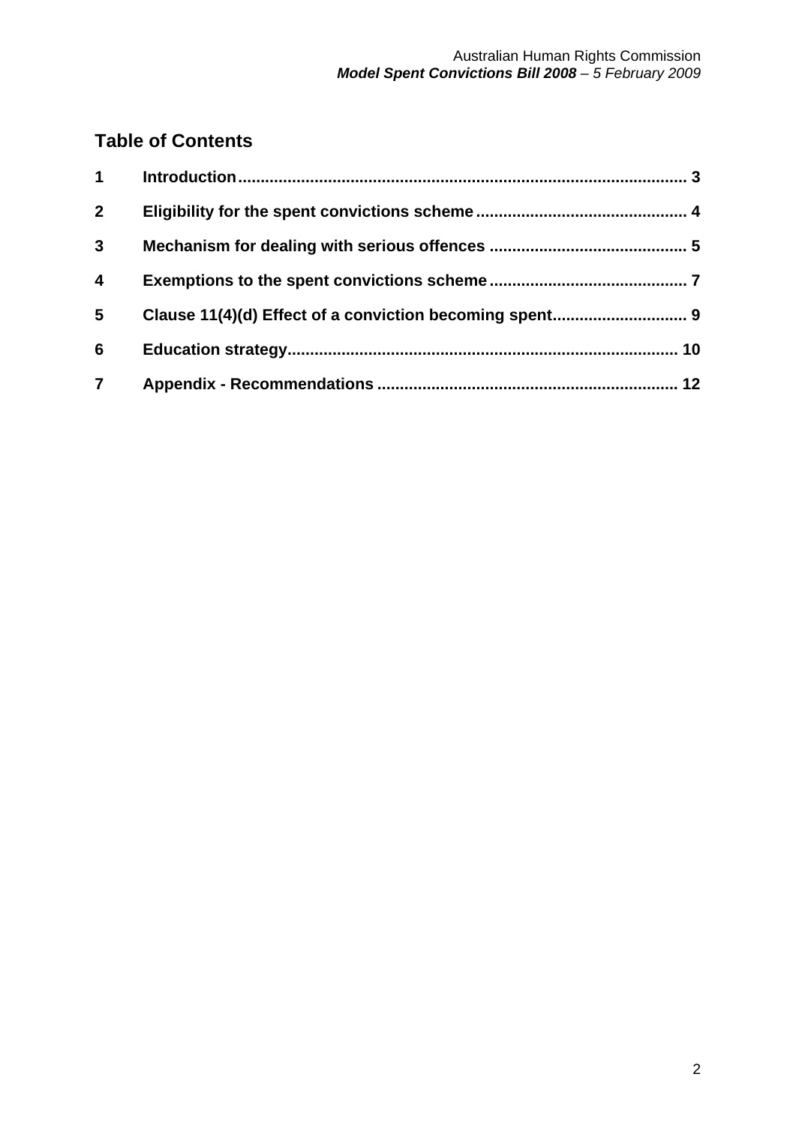## **Table of Contents**

| $\mathbf 1$             |  |
|-------------------------|--|
| $\overline{2}$          |  |
| $\mathbf{3}$            |  |
| $\overline{\mathbf{4}}$ |  |
| 5                       |  |
| $6\phantom{1}6$         |  |
| $\overline{\mathbf{7}}$ |  |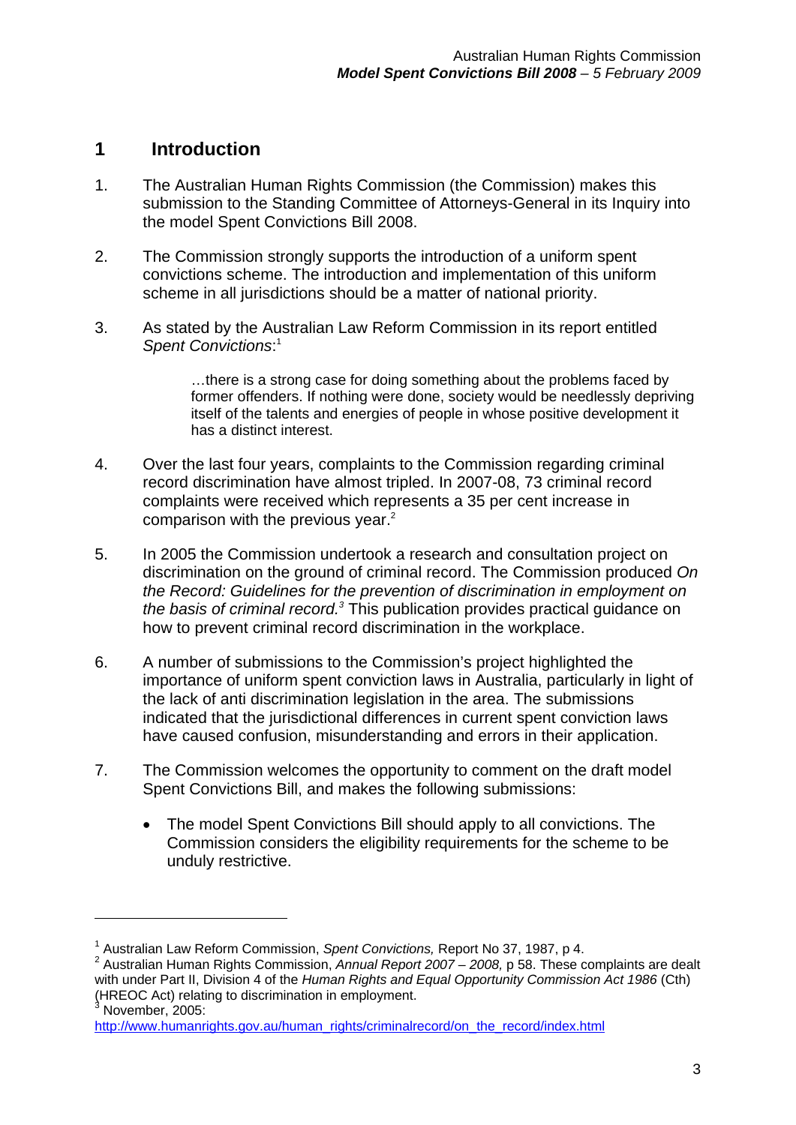### **1 Introduction**

1

- 1. The Australian Human Rights Commission (the Commission) makes this submission to the Standing Committee of Attorneys-General in its Inquiry into the model Spent Convictions Bill 2008.
- 2. The Commission strongly supports the introduction of a uniform spent convictions scheme. The introduction and implementation of this uniform scheme in all jurisdictions should be a matter of national priority.
- 3. As stated by the Australian Law Reform Commission in its report entitled *Spent Convictions*: 1

…there is a strong case for doing something about the problems faced by former offenders. If nothing were done, society would be needlessly depriving itself of the talents and energies of people in whose positive development it has a distinct interest.

- 4. Over the last four years, complaints to the Commission regarding criminal record discrimination have almost tripled. In 2007-08, 73 criminal record complaints were received which represents a 35 per cent increase in comparison with the previous year. $2$
- 5. In 2005 the Commission undertook a research and consultation project on discrimination on the ground of criminal record. The Commission produced *On the Record: Guidelines for the prevention of discrimination in employment on the basis of criminal record.3* This publication provides practical guidance on how to prevent criminal record discrimination in the workplace.
- 6. A number of submissions to the Commission's project highlighted the importance of uniform spent conviction laws in Australia, particularly in light of the lack of anti discrimination legislation in the area. The submissions indicated that the jurisdictional differences in current spent conviction laws have caused confusion, misunderstanding and errors in their application.
- 7. The Commission welcomes the opportunity to comment on the draft model Spent Convictions Bill, and makes the following submissions:
	- The model Spent Convictions Bill should apply to all convictions. The Commission considers the eligibility requirements for the scheme to be unduly restrictive.

<sup>&</sup>lt;sup>1</sup> Australian Law Reform Commission, *Spent Convictions, Report No 37, 1987, p 4.*<br><sup>2</sup> Australian Human Bights Commission, Annual Benert 2007, 2008, p 58, These o

<sup>&</sup>lt;sup>2</sup> Australian Human Rights Commission, Annual Report 2007 – 2008, p 58. These complaints are dealt with under Part II, Division 4 of the *Human Rights and Equal Opportunity Commission Act 1986* (Cth) (HREOC Act) relating to discrimination in employment. 3 November, 2005:

http://www.humanrights.gov.au/human\_rights/criminalrecord/on\_the\_record/index.html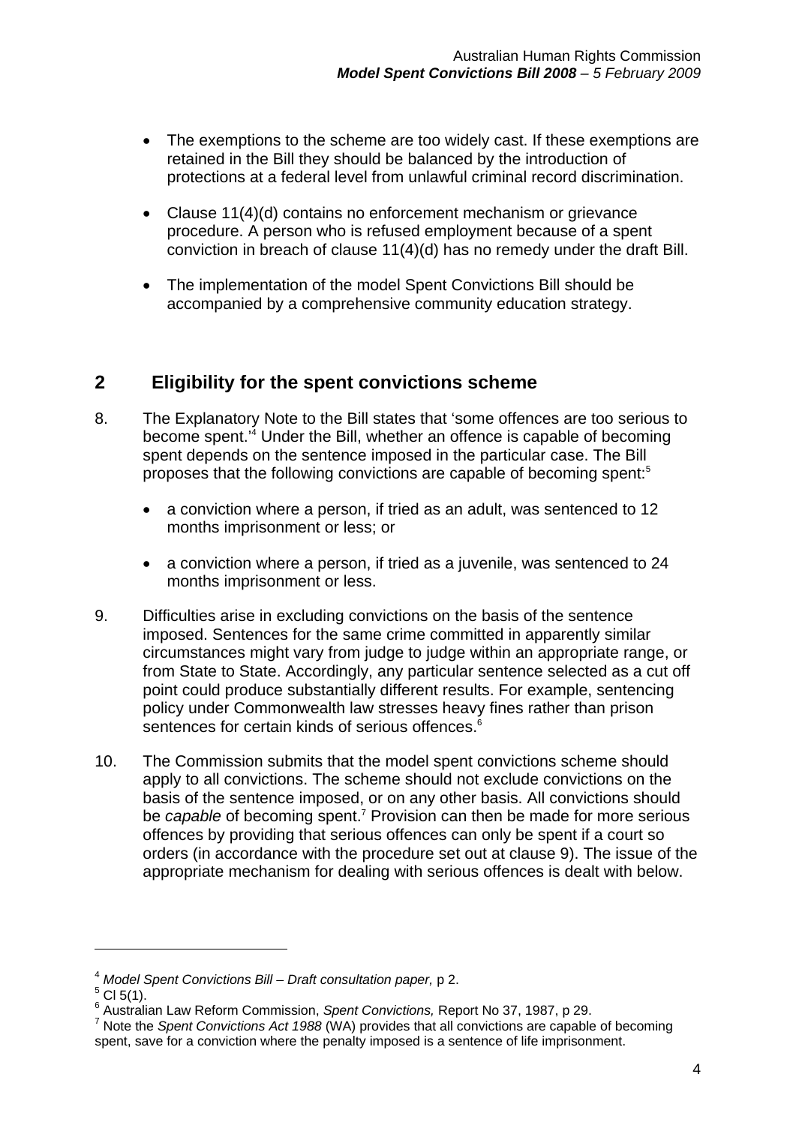- The exemptions to the scheme are too widely cast. If these exemptions are retained in the Bill they should be balanced by the introduction of protections at a federal level from unlawful criminal record discrimination.
- Clause 11(4)(d) contains no enforcement mechanism or grievance procedure. A person who is refused employment because of a spent conviction in breach of clause 11(4)(d) has no remedy under the draft Bill.
- The implementation of the model Spent Convictions Bill should be accompanied by a comprehensive community education strategy.

## **2 Eligibility for the spent convictions scheme**

- 8. The Explanatory Note to the Bill states that 'some offences are too serious to become spent.'4 Under the Bill, whether an offence is capable of becoming spent depends on the sentence imposed in the particular case. The Bill proposes that the following convictions are capable of becoming spent:5
	- a conviction where a person, if tried as an adult, was sentenced to 12 months imprisonment or less; or
	- a conviction where a person, if tried as a juvenile, was sentenced to 24 months imprisonment or less.
- 9. Difficulties arise in excluding convictions on the basis of the sentence imposed. Sentences for the same crime committed in apparently similar circumstances might vary from judge to judge within an appropriate range, or from State to State. Accordingly, any particular sentence selected as a cut off point could produce substantially different results. For example, sentencing policy under Commonwealth law stresses heavy fines rather than prison sentences for certain kinds of serious offences.<sup>6</sup>
- 10. The Commission submits that the model spent convictions scheme should apply to all convictions. The scheme should not exclude convictions on the basis of the sentence imposed, or on any other basis. All convictions should be *capable* of becoming spent.<sup>7</sup> Provision can then be made for more serious offences by providing that serious offences can only be spent if a court so orders (in accordance with the procedure set out at clause 9). The issue of the appropriate mechanism for dealing with serious offences is dealt with below.

<sup>4</sup> *Model Spent Convictions Bill – Draft consultation paper,* p 2.

 $5$  Cl 5(1).

<sup>&</sup>lt;sup>6</sup> Australian Law Reform Commission, *Spent Convictions, Report No 37, 1987, p 29.*<br><sup>7</sup> Nets the Spent Convictions 4et 1988 (WA) provides that all convictions are consola

Note the *Spent Convictions Act 1988* (WA) provides that all convictions are capable of becoming spent, save for a conviction where the penalty imposed is a sentence of life imprisonment.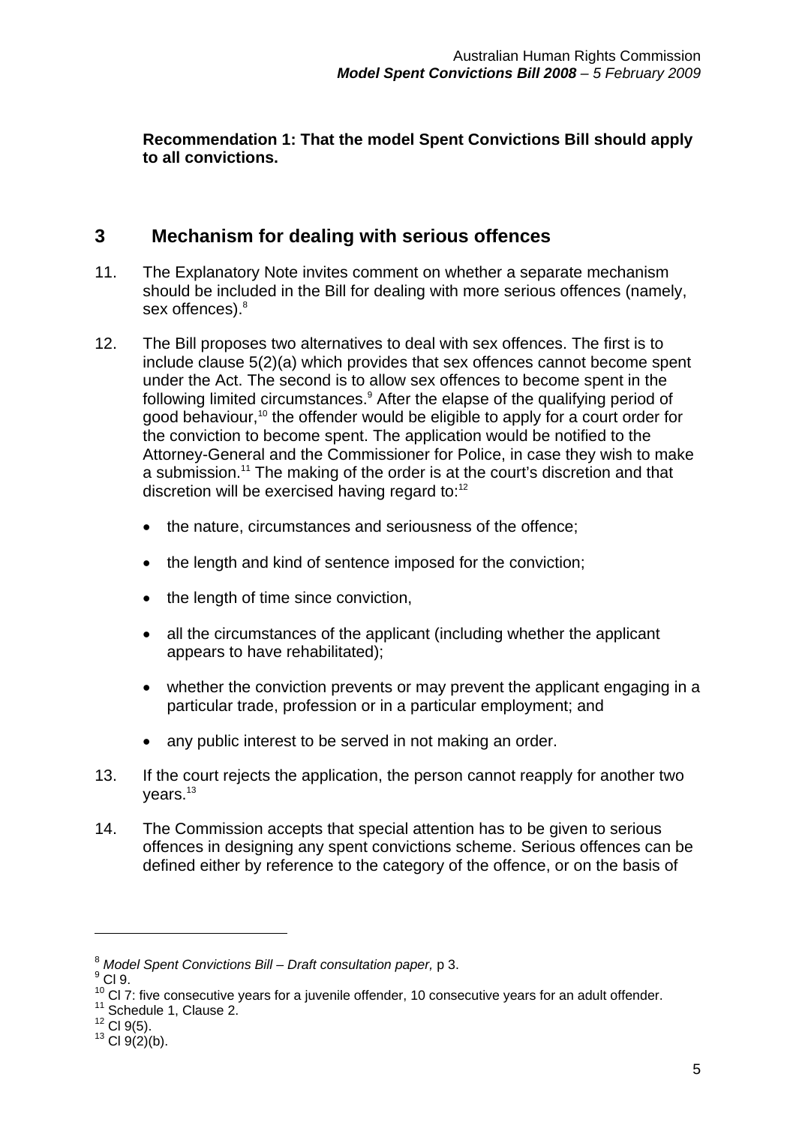**Recommendation 1: That the model Spent Convictions Bill should apply to all convictions.** 

#### **3 Mechanism for dealing with serious offences**

- 11. The Explanatory Note invites comment on whether a separate mechanism should be included in the Bill for dealing with more serious offences (namely, sex offences).<sup>8</sup>
- 12. The Bill proposes two alternatives to deal with sex offences. The first is to include clause 5(2)(a) which provides that sex offences cannot become spent under the Act. The second is to allow sex offences to become spent in the following limited circumstances.<sup>9</sup> After the elapse of the qualifying period of good behaviour,<sup>10</sup> the offender would be eligible to apply for a court order for the conviction to become spent. The application would be notified to the Attorney-General and the Commissioner for Police, in case they wish to make a submission.<sup>11</sup> The making of the order is at the court's discretion and that discretion will be exercised having regard to:<sup>12</sup>
	- the nature, circumstances and seriousness of the offence;
	- the length and kind of sentence imposed for the conviction;
	- the length of time since conviction,
	- all the circumstances of the applicant (including whether the applicant appears to have rehabilitated);
	- whether the conviction prevents or may prevent the applicant engaging in a particular trade, profession or in a particular employment; and
	- any public interest to be served in not making an order.
- 13. If the court rejects the application, the person cannot reapply for another two  $vears.<sup>13</sup>$
- 14. The Commission accepts that special attention has to be given to serious offences in designing any spent convictions scheme. Serious offences can be defined either by reference to the category of the offence, or on the basis of

<sup>&</sup>lt;sup>8</sup> Model Spent Convictions Bill – Draft consultation paper, p 3.

 $<sup>9</sup>$  Cl 9.</sup>

<sup>&</sup>lt;sup>10</sup> Cl 7: five consecutive years for a juvenile offender, 10 consecutive years for an adult offender.<br><sup>11</sup> Schedule 1, Clause 2.<br><sup>12</sup> Cl 9(5).

 $13$  Cl 9(2)(b).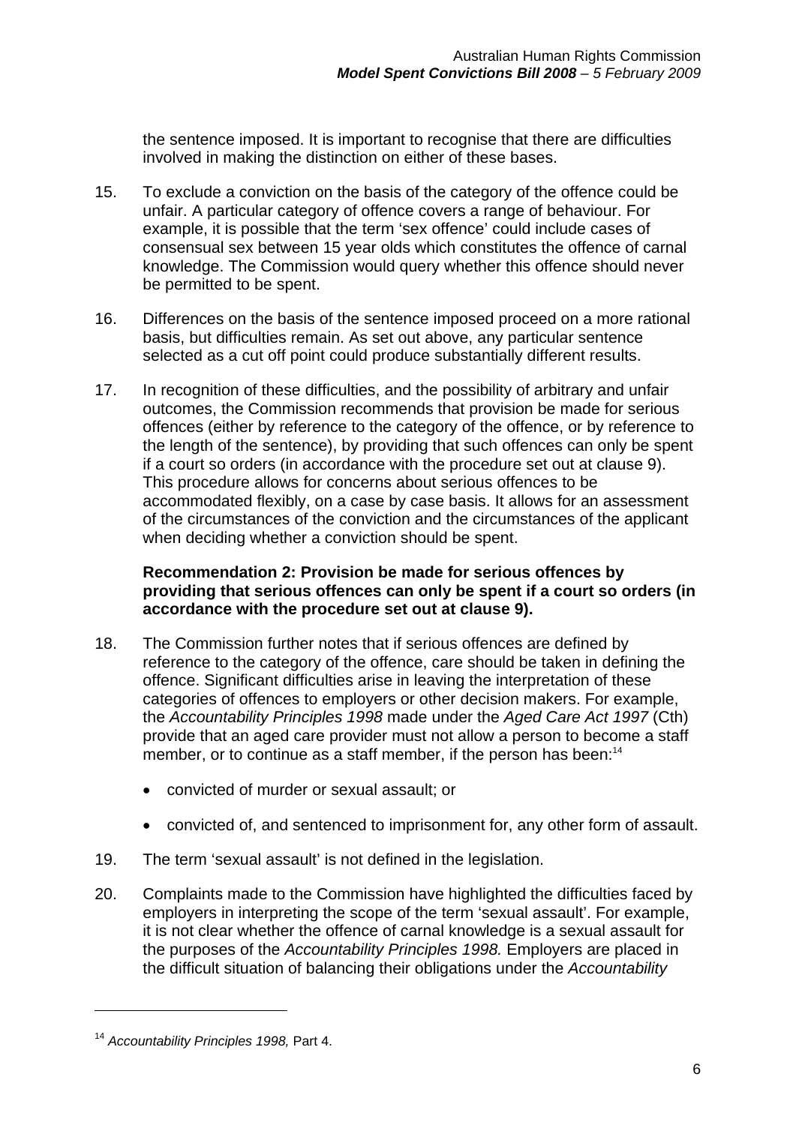the sentence imposed. It is important to recognise that there are difficulties involved in making the distinction on either of these bases.

- 15. To exclude a conviction on the basis of the category of the offence could be unfair. A particular category of offence covers a range of behaviour. For example, it is possible that the term 'sex offence' could include cases of consensual sex between 15 year olds which constitutes the offence of carnal knowledge. The Commission would query whether this offence should never be permitted to be spent.
- 16. Differences on the basis of the sentence imposed proceed on a more rational basis, but difficulties remain. As set out above, any particular sentence selected as a cut off point could produce substantially different results.
- 17. In recognition of these difficulties, and the possibility of arbitrary and unfair outcomes, the Commission recommends that provision be made for serious offences (either by reference to the category of the offence, or by reference to the length of the sentence), by providing that such offences can only be spent if a court so orders (in accordance with the procedure set out at clause 9). This procedure allows for concerns about serious offences to be accommodated flexibly, on a case by case basis. It allows for an assessment of the circumstances of the conviction and the circumstances of the applicant when deciding whether a conviction should be spent.

#### **Recommendation 2: Provision be made for serious offences by providing that serious offences can only be spent if a court so orders (in accordance with the procedure set out at clause 9).**

- 18. The Commission further notes that if serious offences are defined by reference to the category of the offence, care should be taken in defining the offence. Significant difficulties arise in leaving the interpretation of these categories of offences to employers or other decision makers. For example, the *Accountability Principles 1998* made under the *Aged Care Act 1997* (Cth) provide that an aged care provider must not allow a person to become a staff member, or to continue as a staff member, if the person has been:<sup>14</sup>
	- convicted of murder or sexual assault; or
	- convicted of, and sentenced to imprisonment for, any other form of assault.
- 19. The term 'sexual assault' is not defined in the legislation.
- 20. Complaints made to the Commission have highlighted the difficulties faced by employers in interpreting the scope of the term 'sexual assault'. For example, it is not clear whether the offence of carnal knowledge is a sexual assault for the purposes of the *Accountability Principles 1998.* Employers are placed in the difficult situation of balancing their obligations under the *Accountability*

<sup>14</sup> *Accountability Principles 1998,* Part 4.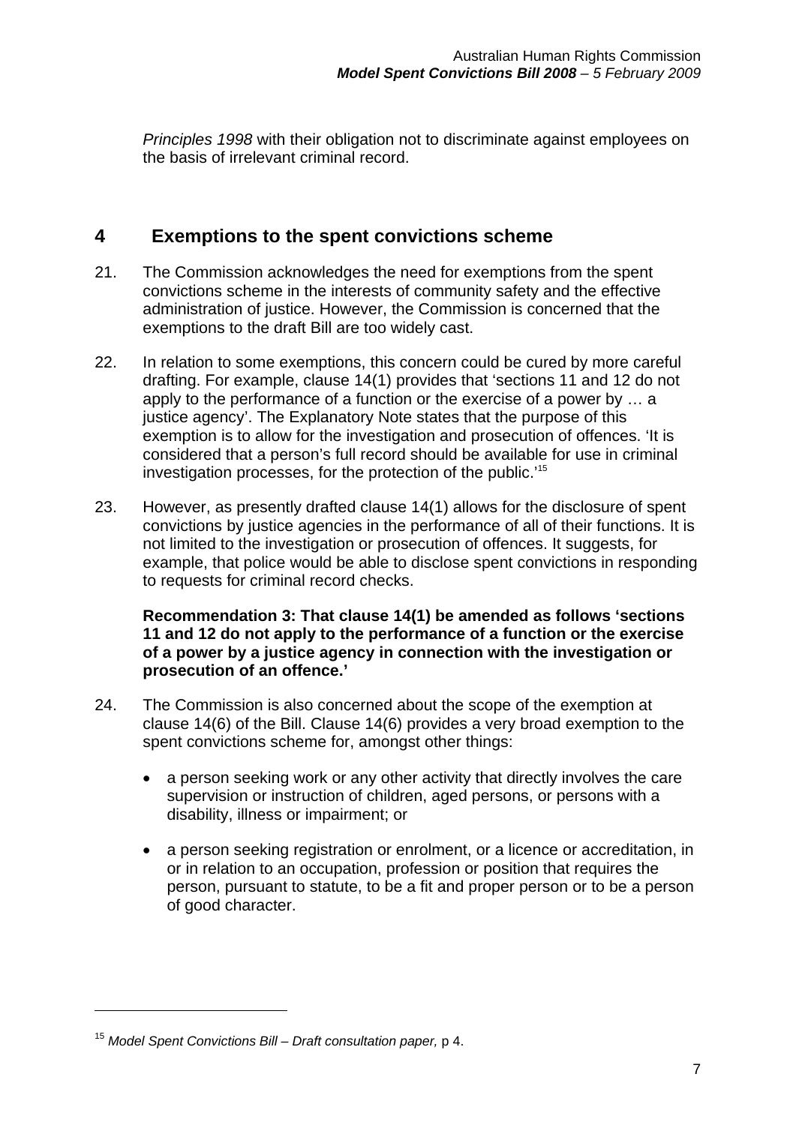*Principles 1998* with their obligation not to discriminate against employees on the basis of irrelevant criminal record.

### **4 Exemptions to the spent convictions scheme**

- 21. The Commission acknowledges the need for exemptions from the spent convictions scheme in the interests of community safety and the effective administration of justice. However, the Commission is concerned that the exemptions to the draft Bill are too widely cast.
- 22. In relation to some exemptions, this concern could be cured by more careful drafting. For example, clause 14(1) provides that 'sections 11 and 12 do not apply to the performance of a function or the exercise of a power by … a justice agency'. The Explanatory Note states that the purpose of this exemption is to allow for the investigation and prosecution of offences. 'It is considered that a person's full record should be available for use in criminal investigation processes, for the protection of the public.'15
- 23. However, as presently drafted clause 14(1) allows for the disclosure of spent convictions by justice agencies in the performance of all of their functions. It is not limited to the investigation or prosecution of offences. It suggests, for example, that police would be able to disclose spent convictions in responding to requests for criminal record checks.

#### **Recommendation 3: That clause 14(1) be amended as follows 'sections 11 and 12 do not apply to the performance of a function or the exercise of a power by a justice agency in connection with the investigation or prosecution of an offence.'**

- 24. The Commission is also concerned about the scope of the exemption at clause 14(6) of the Bill. Clause 14(6) provides a very broad exemption to the spent convictions scheme for, amongst other things:
	- a person seeking work or any other activity that directly involves the care supervision or instruction of children, aged persons, or persons with a disability, illness or impairment; or
	- a person seeking registration or enrolment, or a licence or accreditation, in or in relation to an occupation, profession or position that requires the person, pursuant to statute, to be a fit and proper person or to be a person of good character.

<sup>15</sup> *Model Spent Convictions Bill – Draft consultation paper,* p 4.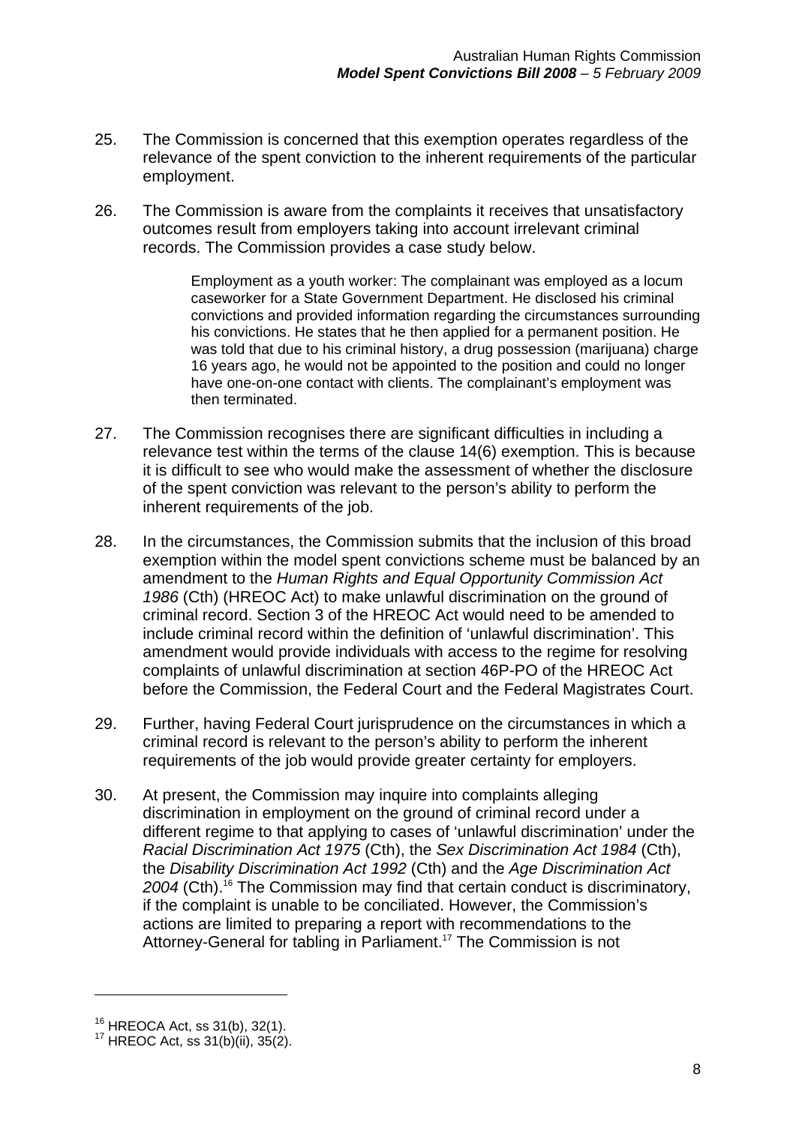- 25. The Commission is concerned that this exemption operates regardless of the relevance of the spent conviction to the inherent requirements of the particular employment.
- 26. The Commission is aware from the complaints it receives that unsatisfactory outcomes result from employers taking into account irrelevant criminal records. The Commission provides a case study below.

Employment as a youth worker: The complainant was employed as a locum caseworker for a State Government Department. He disclosed his criminal convictions and provided information regarding the circumstances surrounding his convictions. He states that he then applied for a permanent position. He was told that due to his criminal history, a drug possession (marijuana) charge 16 years ago, he would not be appointed to the position and could no longer have one-on-one contact with clients. The complainant's employment was then terminated.

- 27. The Commission recognises there are significant difficulties in including a relevance test within the terms of the clause 14(6) exemption. This is because it is difficult to see who would make the assessment of whether the disclosure of the spent conviction was relevant to the person's ability to perform the inherent requirements of the job.
- 28. In the circumstances, the Commission submits that the inclusion of this broad exemption within the model spent convictions scheme must be balanced by an amendment to the *Human Rights and Equal Opportunity Commission Act 1986* (Cth) (HREOC Act) to make unlawful discrimination on the ground of criminal record. Section 3 of the HREOC Act would need to be amended to include criminal record within the definition of 'unlawful discrimination'. This amendment would provide individuals with access to the regime for resolving complaints of unlawful discrimination at section 46P-PO of the HREOC Act before the Commission, the Federal Court and the Federal Magistrates Court.
- 29. Further, having Federal Court jurisprudence on the circumstances in which a criminal record is relevant to the person's ability to perform the inherent requirements of the job would provide greater certainty for employers.
- 30. At present, the Commission may inquire into complaints alleging discrimination in employment on the ground of criminal record under a different regime to that applying to cases of 'unlawful discrimination' under the *Racial Discrimination Act 1975* (Cth), the *Sex Discrimination Act 1984* (Cth), the *Disability Discrimination Act 1992* (Cth) and the *Age Discrimination Act 2004* (Cth).16 The Commission may find that certain conduct is discriminatory, if the complaint is unable to be conciliated. However, the Commission's actions are limited to preparing a report with recommendations to the Attorney-General for tabling in Parliament.<sup>17</sup> The Commission is not

<sup>&</sup>lt;sup>16</sup> HREOCA Act, ss 31(b), 32(1).<br><sup>17</sup> HREOC Act, ss 31(b)(ii), 35(2).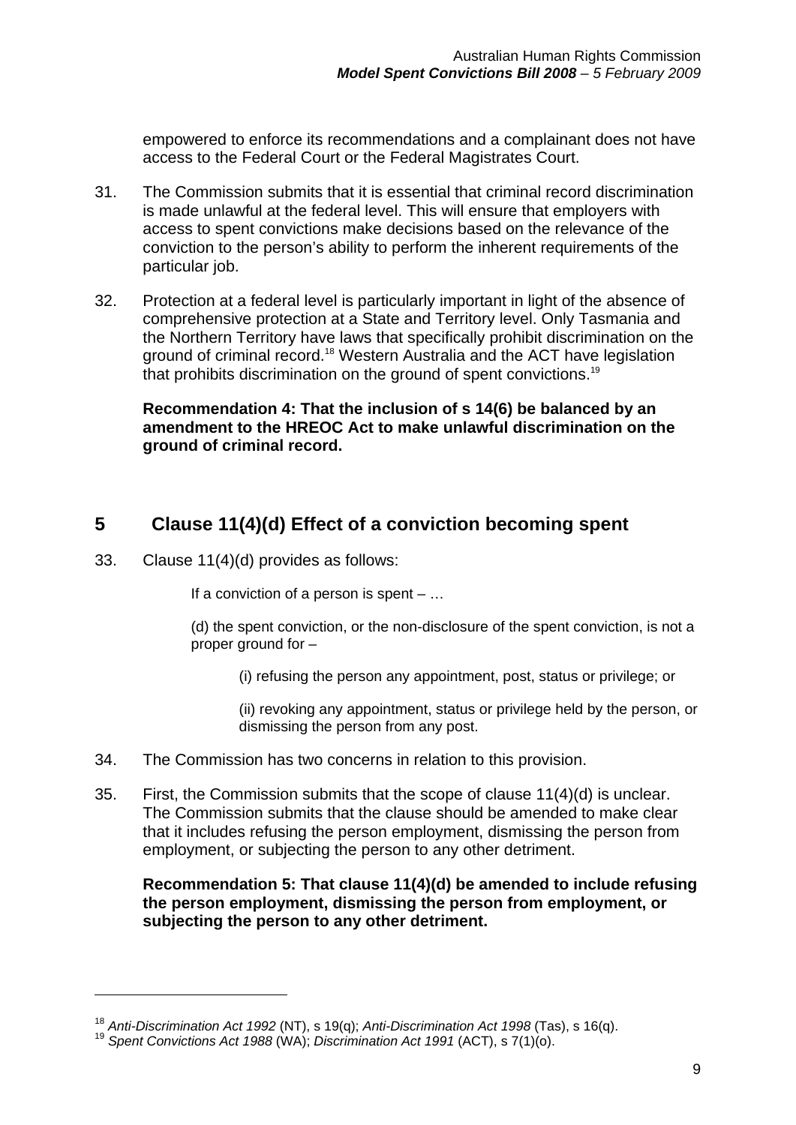empowered to enforce its recommendations and a complainant does not have access to the Federal Court or the Federal Magistrates Court.

- 31. The Commission submits that it is essential that criminal record discrimination is made unlawful at the federal level. This will ensure that employers with access to spent convictions make decisions based on the relevance of the conviction to the person's ability to perform the inherent requirements of the particular job.
- 32. Protection at a federal level is particularly important in light of the absence of comprehensive protection at a State and Territory level. Only Tasmania and the Northern Territory have laws that specifically prohibit discrimination on the ground of criminal record.<sup>18</sup> Western Australia and the ACT have legislation that prohibits discrimination on the ground of spent convictions.<sup>19</sup>

**Recommendation 4: That the inclusion of s 14(6) be balanced by an amendment to the HREOC Act to make unlawful discrimination on the ground of criminal record.** 

### **5 Clause 11(4)(d) Effect of a conviction becoming spent**

33. Clause 11(4)(d) provides as follows:

1

If a conviction of a person is spent  $- \dots$ 

(d) the spent conviction, or the non-disclosure of the spent conviction, is not a proper ground for –

(i) refusing the person any appointment, post, status or privilege; or

(ii) revoking any appointment, status or privilege held by the person, or dismissing the person from any post.

- 34. The Commission has two concerns in relation to this provision.
- 35. First, the Commission submits that the scope of clause 11(4)(d) is unclear. The Commission submits that the clause should be amended to make clear that it includes refusing the person employment, dismissing the person from employment, or subjecting the person to any other detriment.

**Recommendation 5: That clause 11(4)(d) be amended to include refusing the person employment, dismissing the person from employment, or subjecting the person to any other detriment.** 

<sup>&</sup>lt;sup>18</sup> *Anti-Discrimination Act 1992* (NT), s 19(q); *Anti-Discrimination Act 1998* (Tas), s 16(q).<br><sup>19</sup> *Spent Convictions Act 1988* (WA); *Discrimination Act 1991* (ACT), s 7(1)(o).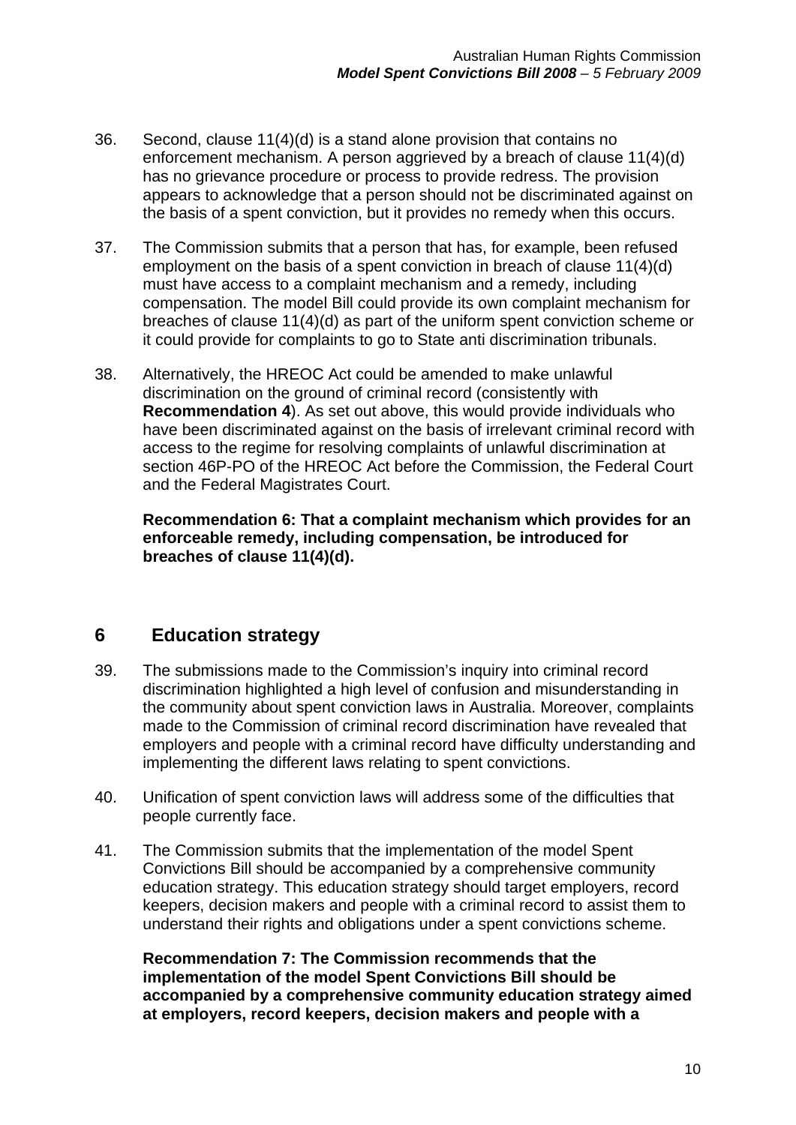- 36. Second, clause 11(4)(d) is a stand alone provision that contains no enforcement mechanism. A person aggrieved by a breach of clause 11(4)(d) has no grievance procedure or process to provide redress. The provision appears to acknowledge that a person should not be discriminated against on the basis of a spent conviction, but it provides no remedy when this occurs.
- 37. The Commission submits that a person that has, for example, been refused employment on the basis of a spent conviction in breach of clause 11(4)(d) must have access to a complaint mechanism and a remedy, including compensation. The model Bill could provide its own complaint mechanism for breaches of clause 11(4)(d) as part of the uniform spent conviction scheme or it could provide for complaints to go to State anti discrimination tribunals.
- 38. Alternatively, the HREOC Act could be amended to make unlawful discrimination on the ground of criminal record (consistently with **Recommendation 4**). As set out above, this would provide individuals who have been discriminated against on the basis of irrelevant criminal record with access to the regime for resolving complaints of unlawful discrimination at section 46P-PO of the HREOC Act before the Commission, the Federal Court and the Federal Magistrates Court.

**Recommendation 6: That a complaint mechanism which provides for an enforceable remedy, including compensation, be introduced for breaches of clause 11(4)(d).** 

#### **6 Education strategy**

- 39. The submissions made to the Commission's inquiry into criminal record discrimination highlighted a high level of confusion and misunderstanding in the community about spent conviction laws in Australia. Moreover, complaints made to the Commission of criminal record discrimination have revealed that employers and people with a criminal record have difficulty understanding and implementing the different laws relating to spent convictions.
- 40. Unification of spent conviction laws will address some of the difficulties that people currently face.
- 41. The Commission submits that the implementation of the model Spent Convictions Bill should be accompanied by a comprehensive community education strategy. This education strategy should target employers, record keepers, decision makers and people with a criminal record to assist them to understand their rights and obligations under a spent convictions scheme.

**Recommendation 7: The Commission recommends that the implementation of the model Spent Convictions Bill should be accompanied by a comprehensive community education strategy aimed at employers, record keepers, decision makers and people with a**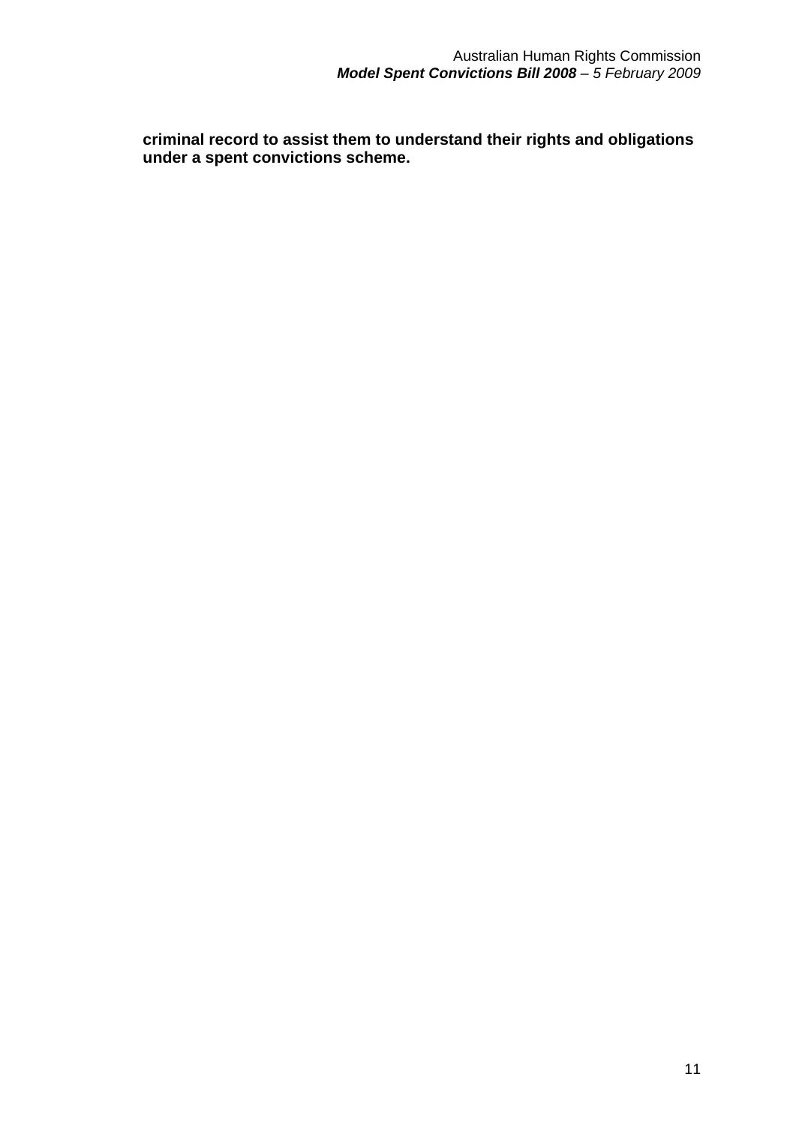**criminal record to assist them to understand their rights and obligations under a spent convictions scheme.**